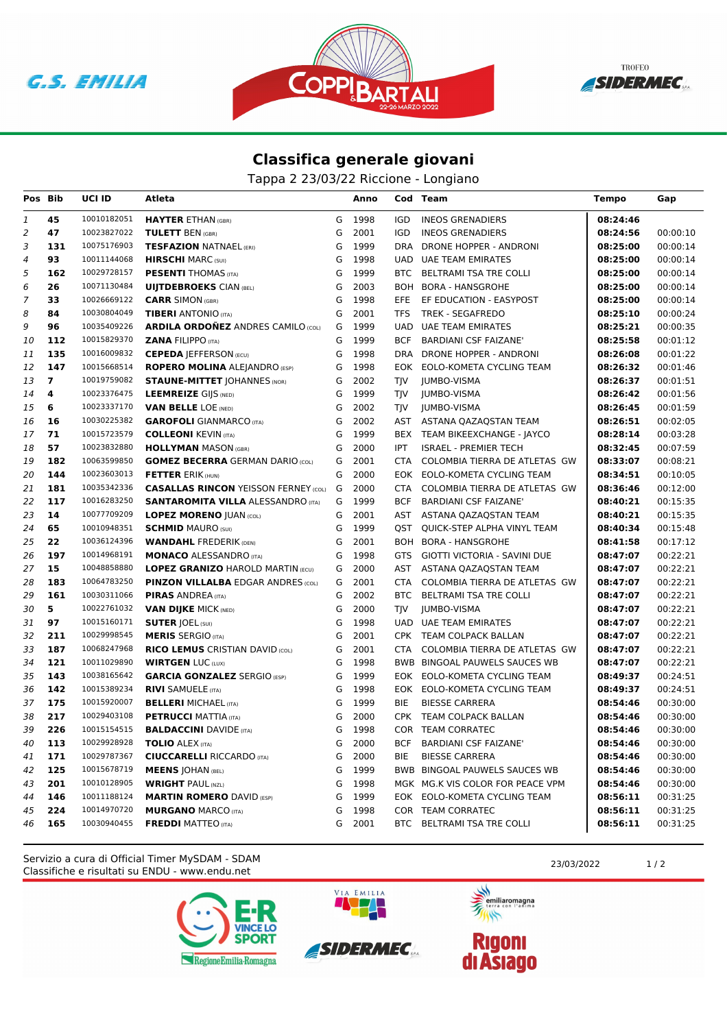





## **Classifica generale giovani**

Tappa 2 23/03/22 Riccione - Longiano

| Pos Bib        |                | <b>UCI ID</b> | Atleta                                      |   | Anno |            | Cod Team                         | <b>Tempo</b> | Gap      |
|----------------|----------------|---------------|---------------------------------------------|---|------|------------|----------------------------------|--------------|----------|
| 1              | 45             | 10010182051   | <b>HAYTER ETHAN (GBR)</b>                   | G | 1998 | <b>IGD</b> | <b>INEOS GRENADIERS</b>          | 08:24:46     |          |
| $\overline{2}$ | 47             | 10023827022   | <b>TULETT BEN (GBR)</b>                     | G | 2001 | IGD        | <b>INEOS GRENADIERS</b>          | 08:24:56     | 00:00:10 |
| 3              | 131            | 10075176903   | <b>TESFAZION NATNAEL (ERI)</b>              | G | 1999 | <b>DRA</b> | DRONE HOPPER - ANDRONI           | 08:25:00     | 00:00:14 |
| 4              | 93             | 10011144068   | <b>HIRSCHI MARC (SUI)</b>                   | G | 1998 | <b>UAD</b> | UAE TEAM EMIRATES                | 08:25:00     | 00:00:14 |
| 5              | 162            | 10029728157   | <b>PESENTI THOMAS (ITA)</b>                 | G | 1999 | BTC        | BELTRAMI TSA TRE COLLI           | 08:25:00     | 00:00:14 |
| 6              | 26             | 10071130484   | <b>UIJTDEBROEKS CIAN (BEL)</b>              | G | 2003 |            | BOH BORA - HANSGROHE             | 08:25:00     | 00:00:14 |
| 7              | 33             | 10026669122   | <b>CARR SIMON (GBR)</b>                     | G | 1998 | <b>EFE</b> | EF EDUCATION - EASYPOST          | 08:25:00     | 00:00:14 |
| 8              | 84             | 10030804049   | <b>TIBERI</b> ANTONIO (ITA)                 | G | 2001 | TFS        | TREK - SEGAFREDO                 | 08:25:10     | 00:00:24 |
| 9              | 96             | 10035409226   | <b>ARDILA ORDOÑEZ ANDRES CAMILO (COL)</b>   | G | 1999 | <b>UAD</b> | <b>UAE TEAM EMIRATES</b>         | 08:25:21     | 00:00:35 |
| 10             | 112            | 10015829370   | <b>ZANA FILIPPO (ITA)</b>                   | G | 1999 | <b>BCF</b> | <b>BARDIANI CSF FAIZANE'</b>     | 08:25:58     | 00:01:12 |
| 11             | 135            | 10016009832   | <b>CEPEDA   EFFERSON (ECU)</b>              | G | 1998 | DRA        | DRONE HOPPER - ANDRONI           | 08:26:08     | 00:01:22 |
| 12             | 147            | 10015668514   | <b>ROPERO MOLINA ALEJANDRO (ESP)</b>        | G | 1998 | EOK        | EOLO-KOMETA CYCLING TEAM         | 08:26:32     | 00:01:46 |
| 13             | $\overline{7}$ | 10019759082   | <b>STAUNE-MITTET JOHANNES (NOR)</b>         | G | 2002 | TIV        | JUMBO-VISMA                      | 08:26:37     | 00:01:51 |
| 14             | 4              | 10023376475   | <b>LEEMREIZE GIJS (NED)</b>                 | G | 1999 | TJV        | JUMBO-VISMA                      | 08:26:42     | 00:01:56 |
| 15             | 6              | 10023337170   | <b>VAN BELLE LOE (NED)</b>                  | G | 2002 | TIV        | JUMBO-VISMA                      | 08:26:45     | 00:01:59 |
| 16             | 16             | 10030225382   | <b>GAROFOLI</b> GIANMARCO (ITA)             | G | 2002 | <b>AST</b> | ASTANA QAZAQSTAN TEAM            | 08:26:51     | 00:02:05 |
| 17             | 71             | 10015723579   | <b>COLLEONI KEVIN (ITA)</b>                 | G | 1999 |            | BEX TEAM BIKEEXCHANGE - JAYCO    | 08:28:14     | 00:03:28 |
| 18             | 57             | 10023832880   | <b>HOLLYMAN MASON (GBR)</b>                 | G | 2000 | <b>IPT</b> | <b>ISRAEL - PREMIER TECH</b>     | 08:32:45     | 00:07:59 |
| 19             | 182            | 10063599850   | <b>GOMEZ BECERRA GERMAN DARIO (COL)</b>     | G | 2001 | <b>CTA</b> | COLOMBIA TIERRA DE ATLETAS GW    | 08:33:07     | 00:08:21 |
| 20             | 144            | 10023603013   | <b>FETTER ERIK (HUN)</b>                    | G | 2000 |            | EOK EOLO-KOMETA CYCLING TEAM     | 08:34:51     | 00:10:05 |
| 21             | 181            | 10035342336   | <b>CASALLAS RINCON YEISSON FERNEY (COL)</b> | G | 2000 | <b>CTA</b> | COLOMBIA TIERRA DE ATLETAS GW    | 08:36:46     | 00:12:00 |
| 22             | 117            | 10016283250   | <b>SANTAROMITA VILLA ALESSANDRO (ITA)</b>   | G | 1999 | <b>BCF</b> | <b>BARDIANI CSF FAIZANE'</b>     | 08:40:21     | 00:15:35 |
| 23             | 14             | 10077709209   | <b>LOPEZ MORENO JUAN (COL)</b>              | G | 2001 | AST        | ASTANA QAZAQSTAN TEAM            | 08:40:21     | 00:15:35 |
| 24             | 65             | 10010948351   | <b>SCHMID MAURO (SUI)</b>                   | G | 1999 | QST        | QUICK-STEP ALPHA VINYL TEAM      | 08:40:34     | 00:15:48 |
| 25             | 22             | 10036124396   | <b>WANDAHL FREDERIK (DEN)</b>               | G | 2001 |            | BOH BORA - HANSGROHE             | 08:41:58     | 00:17:12 |
| 26             | 197            | 10014968191   | <b>MONACO ALESSANDRO (ITA)</b>              | G | 1998 | <b>GTS</b> | GIOTTI VICTORIA - SAVINI DUE     | 08:47:07     | 00:22:21 |
| 27             | 15             | 10048858880   | <b>LOPEZ GRANIZO HAROLD MARTIN (ECU)</b>    | G | 2000 | AST        | ASTANA QAZAQSTAN TEAM            | 08:47:07     | 00:22:21 |
| 28             | 183            | 10064783250   | <b>PINZON VILLALBA EDGAR ANDRES (COL)</b>   | G | 2001 | <b>CTA</b> | COLOMBIA TIERRA DE ATLETAS GW    | 08:47:07     | 00:22:21 |
| 29             | 161            | 10030311066   | <b>PIRAS ANDREA</b> (ITA)                   | G | 2002 | BTC        | BELTRAMI TSA TRE COLLI           | 08:47:07     | 00:22:21 |
| 30             | 5              | 10022761032   | <b>VAN DIJKE MICK (NED)</b>                 | G | 2000 | TIV        | JUMBO-VISMA                      | 08:47:07     | 00:22:21 |
| 31             | 97             | 10015160171   | <b>SUTER JOEL (SUI)</b>                     | G | 1998 | <b>UAD</b> | UAE TEAM EMIRATES                | 08:47:07     | 00:22:21 |
| 32             | 211            | 10029998545   | <b>MERIS SERGIO (ITA)</b>                   | G | 2001 |            | CPK TEAM COLPACK BALLAN          | 08:47:07     | 00:22:21 |
| 33             | 187            | 10068247968   | <b>RICO LEMUS CRISTIAN DAVID (COL)</b>      | G | 2001 | <b>CTA</b> | COLOMBIA TIERRA DE ATLETAS GW    | 08:47:07     | 00:22:21 |
| 34             | 121            | 10011029890   | <b>WIRTGEN LUC (LUX)</b>                    | G | 1998 |            | BWB BINGOAL PAUWELS SAUCES WB    | 08:47:07     | 00:22:21 |
| 35             | 143            | 10038165642   | <b>GARCIA GONZALEZ SERGIO (ESP)</b>         | G | 1999 |            | EOK EOLO-KOMETA CYCLING TEAM     | 08:49:37     | 00:24:51 |
| 36             | 142            | 10015389234   | <b>RIVI SAMUELE (ITA)</b>                   | G | 1998 |            | EOK EOLO-KOMETA CYCLING TEAM     | 08:49:37     | 00:24:51 |
| 37             | 175            | 10015920007   | <b>BELLERI MICHAEL (ITA)</b>                | G | 1999 | <b>BIE</b> | <b>BIESSE CARRERA</b>            | 08:54:46     | 00:30:00 |
| 38             | 217            | 10029403108   | <b>PETRUCCI MATTIA (ITA)</b>                | G | 2000 | <b>CPK</b> | TEAM COLPACK BALLAN              | 08:54:46     | 00:30:00 |
| 39             | 226            | 10015154515   | <b>BALDACCINI DAVIDE (ITA)</b>              | G | 1998 |            | COR TEAM CORRATEC                | 08:54:46     | 00:30:00 |
| 40             | 113            | 10029928928   | <b>TOLIO ALEX (ITA)</b>                     | G | 2000 | <b>BCF</b> | <b>BARDIANI CSF FAIZANE'</b>     | 08:54:46     | 00:30:00 |
| 41             | 171            | 10029787367   | <b>CIUCCARELLI RICCARDO (ITA)</b>           | G | 2000 | BIE        | <b>BIESSE CARRERA</b>            | 08:54:46     | 00:30:00 |
| 42             | 125            | 10015678719   | <b>MEENS JOHAN (BEL)</b>                    | G | 1999 |            | BWB BINGOAL PAUWELS SAUCES WB    | 08:54:46     | 00:30:00 |
| 43             | 201            | 10010128905   | <b>WRIGHT PAUL (NZL)</b>                    | G | 1998 |            | MGK MG.K VIS COLOR FOR PEACE VPM | 08:54:46     | 00:30:00 |
| 44             | 146            | 10011188124   | <b>MARTIN ROMERO DAVID (ESP)</b>            | G | 1999 |            | EOK EOLO-KOMETA CYCLING TEAM     | 08:56:11     | 00:31:25 |
| 45             | 224            | 10014970720   | <b>MURGANO MARCO (ITA)</b>                  | G | 1998 |            | COR TEAM CORRATEC                | 08:56:11     | 00:31:25 |
| 46             | 165            | 10030940455   | <b>FREDDI MATTEO (ITA)</b>                  | G | 2001 |            | BTC BELTRAMI TSA TRE COLLI       | 08:56:11     | 00:31:25 |
|                |                |               |                                             |   |      |            |                                  |              |          |

Classifiche e risultati su ENDU - www.endu.net Servizio a cura di Official Timer MySDAM - SDAM 23/03/2022 2003/2022 1/2





VIA EMILIA

美元 emiliaromagna

 $\rightarrow$ 

**Rigoni<br>di Asiago**